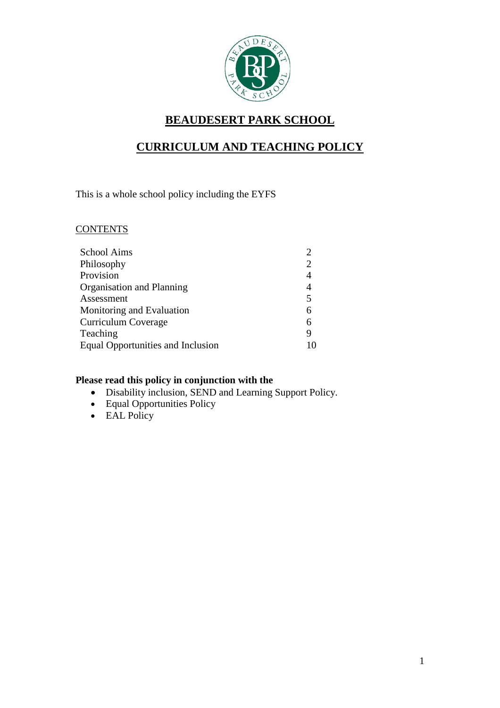

# **BEAUDESERT PARK SCHOOL**

# **CURRICULUM AND TEACHING POLICY**

This is a whole school policy including the EYFS

# **CONTENTS**

| <b>School Aims</b>                |                |
|-----------------------------------|----------------|
| Philosophy                        | $\overline{2}$ |
| Provision                         |                |
| Organisation and Planning         | 4              |
| Assessment                        | 5              |
| Monitoring and Evaluation         | 6              |
| Curriculum Coverage               | 6              |
| Teaching                          | Q              |
| Equal Opportunities and Inclusion |                |

# **Please read this policy in conjunction with the**

- Disability inclusion, SEND and Learning Support Policy.
- Equal Opportunities Policy
- EAL Policy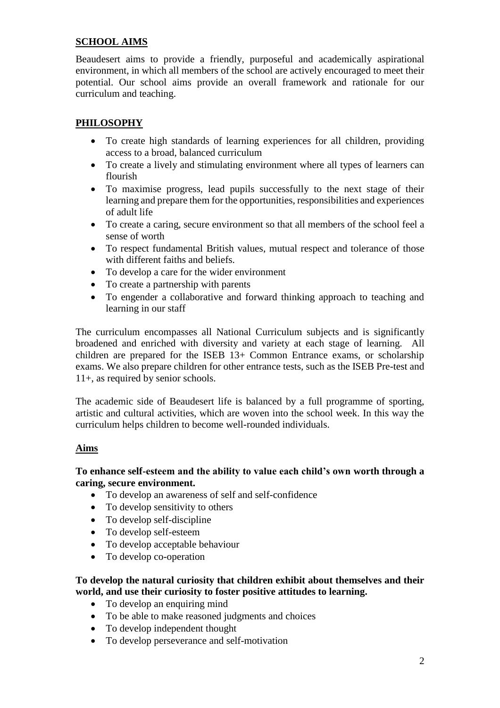# **SCHOOL AIMS**

Beaudesert aims to provide a friendly, purposeful and academically aspirational environment, in which all members of the school are actively encouraged to meet their potential. Our school aims provide an overall framework and rationale for our curriculum and teaching.

# **PHILOSOPHY**

- To create high standards of learning experiences for all children, providing access to a broad, balanced curriculum
- To create a lively and stimulating environment where all types of learners can flourish
- To maximise progress, lead pupils successfully to the next stage of their learning and prepare them for the opportunities, responsibilities and experiences of adult life
- To create a caring, secure environment so that all members of the school feel a sense of worth
- To respect fundamental British values, mutual respect and tolerance of those with different faiths and beliefs.
- To develop a care for the wider environment
- To create a partnership with parents
- To engender a collaborative and forward thinking approach to teaching and learning in our staff

The curriculum encompasses all National Curriculum subjects and is significantly broadened and enriched with diversity and variety at each stage of learning. All children are prepared for the ISEB 13+ Common Entrance exams, or scholarship exams. We also prepare children for other entrance tests, such as the ISEB Pre-test and 11+, as required by senior schools.

The academic side of Beaudesert life is balanced by a full programme of sporting, artistic and cultural activities, which are woven into the school week. In this way the curriculum helps children to become well-rounded individuals.

## **Aims**

#### **To enhance self-esteem and the ability to value each child's own worth through a caring, secure environment.**

- To develop an awareness of self and self-confidence
- To develop sensitivity to others
- To develop self-discipline
- To develop self-esteem
- To develop acceptable behaviour
- To develop co-operation

# **To develop the natural curiosity that children exhibit about themselves and their world, and use their curiosity to foster positive attitudes to learning.**

- To develop an enquiring mind
- To be able to make reasoned judgments and choices
- To develop independent thought
- To develop perseverance and self-motivation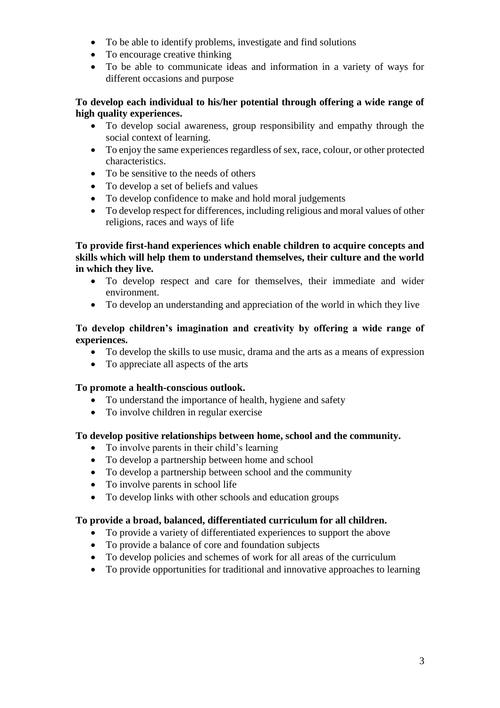- To be able to identify problems, investigate and find solutions
- To encourage creative thinking
- To be able to communicate ideas and information in a variety of ways for different occasions and purpose

## **To develop each individual to his/her potential through offering a wide range of high quality experiences.**

- To develop social awareness, group responsibility and empathy through the social context of learning.
- To enjoy the same experiences regardless of sex, race, colour, or other protected characteristics.
- To be sensitive to the needs of others
- To develop a set of beliefs and values
- To develop confidence to make and hold moral judgements
- To develop respect for differences, including religious and moral values of other religions, races and ways of life

#### **To provide first-hand experiences which enable children to acquire concepts and skills which will help them to understand themselves, their culture and the world in which they live.**

- To develop respect and care for themselves, their immediate and wider environment.
- To develop an understanding and appreciation of the world in which they live

## **To develop children's imagination and creativity by offering a wide range of experiences.**

- To develop the skills to use music, drama and the arts as a means of expression
- To appreciate all aspects of the arts

## **To promote a health-conscious outlook.**

- To understand the importance of health, hygiene and safety
- To involve children in regular exercise

## **To develop positive relationships between home, school and the community.**

- To involve parents in their child's learning
- To develop a partnership between home and school
- To develop a partnership between school and the community
- To involve parents in school life
- To develop links with other schools and education groups

## **To provide a broad, balanced, differentiated curriculum for all children.**

- To provide a variety of differentiated experiences to support the above
- To provide a balance of core and foundation subjects
- To develop policies and schemes of work for all areas of the curriculum
- To provide opportunities for traditional and innovative approaches to learning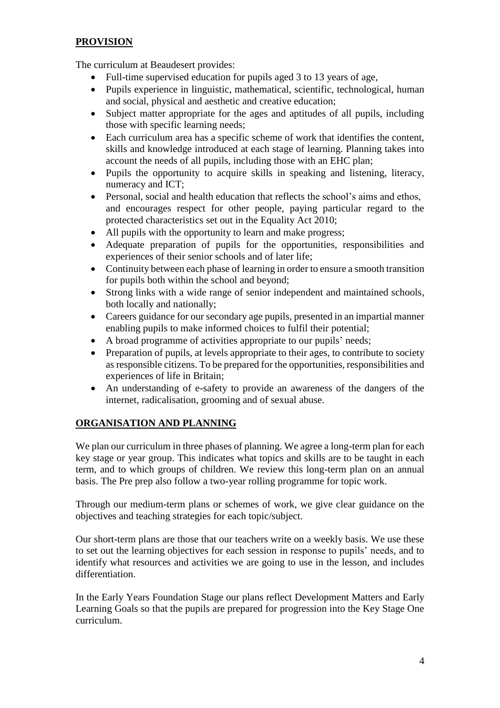# **PROVISION**

The curriculum at Beaudesert provides:

- Full-time supervised education for pupils aged 3 to 13 years of age,
- Pupils experience in linguistic, mathematical, scientific, technological, human and social, physical and aesthetic and creative education;
- Subject matter appropriate for the ages and aptitudes of all pupils, including those with specific learning needs;
- Each curriculum area has a specific scheme of work that identifies the content, skills and knowledge introduced at each stage of learning. Planning takes into account the needs of all pupils, including those with an EHC plan;
- Pupils the opportunity to acquire skills in speaking and listening, literacy, numeracy and ICT;
- Personal, social and health education that reflects the school's aims and ethos, and encourages respect for other people, paying particular regard to the protected characteristics set out in the Equality Act 2010;
- All pupils with the opportunity to learn and make progress;
- Adequate preparation of pupils for the opportunities, responsibilities and experiences of their senior schools and of later life;
- Continuity between each phase of learning in order to ensure a smooth transition for pupils both within the school and beyond;
- Strong links with a wide range of senior independent and maintained schools, both locally and nationally;
- Careers guidance for our secondary age pupils, presented in an impartial manner enabling pupils to make informed choices to fulfil their potential;
- A broad programme of activities appropriate to our pupils' needs;
- Preparation of pupils, at levels appropriate to their ages, to contribute to society as responsible citizens. To be prepared for the opportunities, responsibilities and experiences of life in Britain;
- An understanding of e-safety to provide an awareness of the dangers of the internet, radicalisation, grooming and of sexual abuse.

# **ORGANISATION AND PLANNING**

We plan our curriculum in three phases of planning. We agree a long-term plan for each key stage or year group. This indicates what topics and skills are to be taught in each term, and to which groups of children. We review this long-term plan on an annual basis. The Pre prep also follow a two-year rolling programme for topic work.

Through our medium-term plans or schemes of work, we give clear guidance on the objectives and teaching strategies for each topic/subject.

Our short-term plans are those that our teachers write on a weekly basis. We use these to set out the learning objectives for each session in response to pupils' needs, and to identify what resources and activities we are going to use in the lesson, and includes differentiation.

In the Early Years Foundation Stage our plans reflect Development Matters and Early Learning Goals so that the pupils are prepared for progression into the Key Stage One curriculum.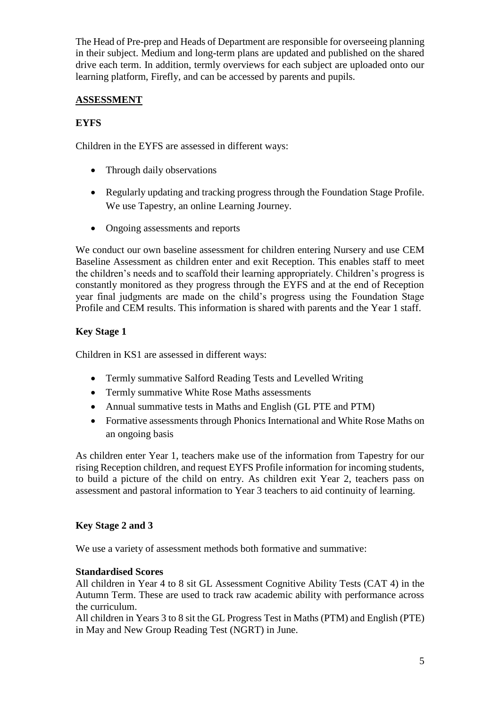The Head of Pre-prep and Heads of Department are responsible for overseeing planning in their subject. Medium and long-term plans are updated and published on the shared drive each term. In addition, termly overviews for each subject are uploaded onto our learning platform, Firefly, and can be accessed by parents and pupils.

# **ASSESSMENT**

# **EYFS**

Children in the EYFS are assessed in different ways:

- Through daily observations
- Regularly updating and tracking progress through the Foundation Stage Profile. We use Tapestry, an online Learning Journey.
- Ongoing assessments and reports

We conduct our own baseline assessment for children entering Nursery and use CEM Baseline Assessment as children enter and exit Reception. This enables staff to meet the children's needs and to scaffold their learning appropriately. Children's progress is constantly monitored as they progress through the EYFS and at the end of Reception year final judgments are made on the child's progress using the Foundation Stage Profile and CEM results. This information is shared with parents and the Year 1 staff.

# **Key Stage 1**

Children in KS1 are assessed in different ways:

- Termly summative Salford Reading Tests and Levelled Writing
- Termly summative White Rose Maths assessments
- Annual summative tests in Maths and English (GL PTE and PTM)
- Formative assessments through Phonics International and White Rose Maths on an ongoing basis

As children enter Year 1, teachers make use of the information from Tapestry for our rising Reception children, and request EYFS Profile information for incoming students, to build a picture of the child on entry. As children exit Year 2, teachers pass on assessment and pastoral information to Year 3 teachers to aid continuity of learning.

## **Key Stage 2 and 3**

We use a variety of assessment methods both formative and summative:

## **Standardised Scores**

All children in Year 4 to 8 sit GL Assessment Cognitive Ability Tests (CAT 4) in the Autumn Term. These are used to track raw academic ability with performance across the curriculum.

All children in Years 3 to 8 sit the GL Progress Test in Maths (PTM) and English (PTE) in May and New Group Reading Test (NGRT) in June.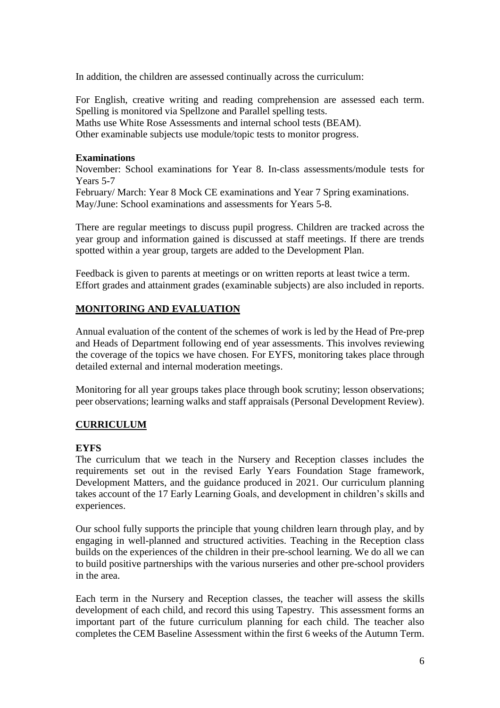In addition, the children are assessed continually across the curriculum:

For English, creative writing and reading comprehension are assessed each term. Spelling is monitored via Spellzone and Parallel spelling tests. Maths use White Rose Assessments and internal school tests (BEAM). Other examinable subjects use module/topic tests to monitor progress.

#### **Examinations**

November: School examinations for Year 8. In-class assessments/module tests for Years 5-7

February/ March: Year 8 Mock CE examinations and Year 7 Spring examinations. May/June: School examinations and assessments for Years 5-8.

There are regular meetings to discuss pupil progress. Children are tracked across the year group and information gained is discussed at staff meetings. If there are trends spotted within a year group, targets are added to the Development Plan.

Feedback is given to parents at meetings or on written reports at least twice a term. Effort grades and attainment grades (examinable subjects) are also included in reports.

## **MONITORING AND EVALUATION**

Annual evaluation of the content of the schemes of work is led by the Head of Pre-prep and Heads of Department following end of year assessments. This involves reviewing the coverage of the topics we have chosen. For EYFS, monitoring takes place through detailed external and internal moderation meetings.

Monitoring for all year groups takes place through book scrutiny; lesson observations; peer observations; learning walks and staff appraisals (Personal Development Review).

## **CURRICULUM**

#### **EYFS**

The curriculum that we teach in the Nursery and Reception classes includes the requirements set out in the revised Early Years Foundation Stage framework, Development Matters, and the guidance produced in 2021. Our curriculum planning takes account of the 17 Early Learning Goals, and development in children's skills and experiences.

Our school fully supports the principle that young children learn through play, and by engaging in well-planned and structured activities. Teaching in the Reception class builds on the experiences of the children in their pre-school learning. We do all we can to build positive partnerships with the various nurseries and other pre-school providers in the area.

Each term in the Nursery and Reception classes, the teacher will assess the skills development of each child, and record this using Tapestry. This assessment forms an important part of the future curriculum planning for each child. The teacher also completes the CEM Baseline Assessment within the first 6 weeks of the Autumn Term.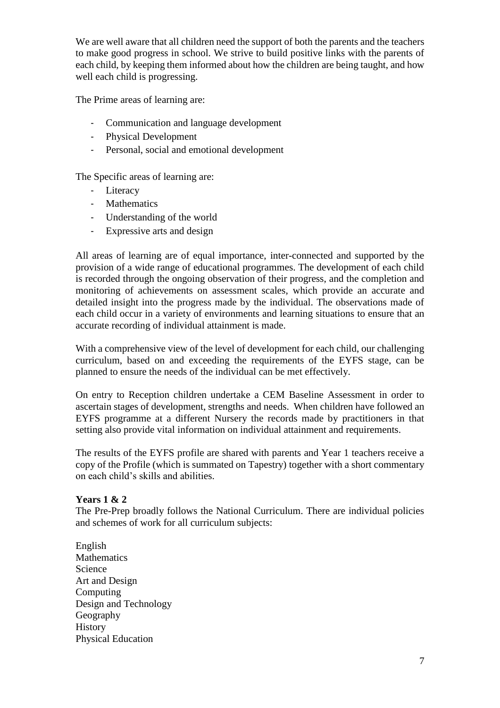We are well aware that all children need the support of both the parents and the teachers to make good progress in school. We strive to build positive links with the parents of each child, by keeping them informed about how the children are being taught, and how well each child is progressing.

The Prime areas of learning are:

- Communication and language development
- Physical Development
- Personal, social and emotional development

The Specific areas of learning are:

- Literacy
- Mathematics
- Understanding of the world
- Expressive arts and design

All areas of learning are of equal importance, inter-connected and supported by the provision of a wide range of educational programmes. The development of each child is recorded through the ongoing observation of their progress, and the completion and monitoring of achievements on assessment scales, which provide an accurate and detailed insight into the progress made by the individual. The observations made of each child occur in a variety of environments and learning situations to ensure that an accurate recording of individual attainment is made.

With a comprehensive view of the level of development for each child, our challenging curriculum, based on and exceeding the requirements of the EYFS stage, can be planned to ensure the needs of the individual can be met effectively.

On entry to Reception children undertake a CEM Baseline Assessment in order to ascertain stages of development, strengths and needs. When children have followed an EYFS programme at a different Nursery the records made by practitioners in that setting also provide vital information on individual attainment and requirements.

The results of the EYFS profile are shared with parents and Year 1 teachers receive a copy of the Profile (which is summated on Tapestry) together with a short commentary on each child's skills and abilities.

#### **Years 1 & 2**

The Pre-Prep broadly follows the National Curriculum. There are individual policies and schemes of work for all curriculum subjects:

English **Mathematics** Science Art and Design Computing Design and Technology Geography History Physical Education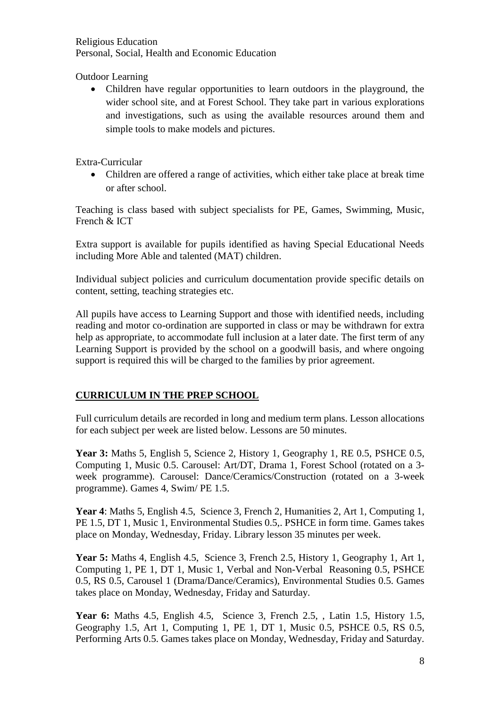Religious Education Personal, Social, Health and Economic Education

Outdoor Learning

 Children have regular opportunities to learn outdoors in the playground, the wider school site, and at Forest School. They take part in various explorations and investigations, such as using the available resources around them and simple tools to make models and pictures.

Extra-Curricular

 Children are offered a range of activities, which either take place at break time or after school.

Teaching is class based with subject specialists for PE, Games, Swimming, Music, French & ICT

Extra support is available for pupils identified as having Special Educational Needs including More Able and talented (MAT) children.

Individual subject policies and curriculum documentation provide specific details on content, setting, teaching strategies etc.

All pupils have access to Learning Support and those with identified needs, including reading and motor co-ordination are supported in class or may be withdrawn for extra help as appropriate, to accommodate full inclusion at a later date. The first term of any Learning Support is provided by the school on a goodwill basis, and where ongoing support is required this will be charged to the families by prior agreement.

# **CURRICULUM IN THE PREP SCHOOL**

Full curriculum details are recorded in long and medium term plans. Lesson allocations for each subject per week are listed below. Lessons are 50 minutes.

**Year 3:** Maths 5, English 5, Science 2, History 1, Geography 1, RE 0.5, PSHCE 0.5, Computing 1, Music 0.5. Carousel: Art/DT, Drama 1, Forest School (rotated on a 3 week programme). Carousel: Dance/Ceramics/Construction (rotated on a 3-week programme). Games 4, Swim/ PE 1.5.

**Year 4**: Maths 5, English 4.5, Science 3, French 2, Humanities 2, Art 1, Computing 1, PE 1.5, DT 1, Music 1, Environmental Studies 0.5,. PSHCE in form time. Games takes place on Monday, Wednesday, Friday. Library lesson 35 minutes per week.

**Year 5:** Maths 4, English 4.5, Science 3, French 2.5, History 1, Geography 1, Art 1, Computing 1, PE 1, DT 1, Music 1, Verbal and Non-Verbal Reasoning 0.5, PSHCE 0.5, RS 0.5, Carousel 1 (Drama/Dance/Ceramics), Environmental Studies 0.5. Games takes place on Monday, Wednesday, Friday and Saturday.

**Year 6:** Maths 4.5, English 4.5, Science 3, French 2.5, , Latin 1.5, History 1.5, Geography 1.5, Art 1, Computing 1, PE 1, DT 1, Music 0.5, PSHCE 0.5, RS 0.5, Performing Arts 0.5. Games takes place on Monday, Wednesday, Friday and Saturday.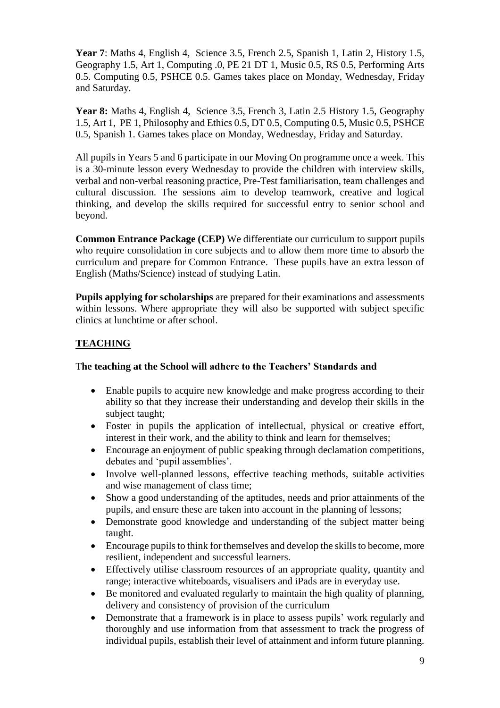**Year 7**: Maths 4, English 4, Science 3.5, French 2.5, Spanish 1, Latin 2, History 1.5, Geography 1.5, Art 1, Computing .0, PE 21 DT 1, Music 0.5, RS 0.5, Performing Arts 0.5. Computing 0.5, PSHCE 0.5. Games takes place on Monday, Wednesday, Friday and Saturday.

Year 8: Maths 4, English 4, Science 3.5, French 3, Latin 2.5 History 1.5, Geography 1.5, Art 1, PE 1, Philosophy and Ethics 0.5, DT 0.5, Computing 0.5, Music 0.5, PSHCE 0.5, Spanish 1. Games takes place on Monday, Wednesday, Friday and Saturday.

All pupils in Years 5 and 6 participate in our Moving On programme once a week. This is a 30-minute lesson every Wednesday to provide the children with interview skills, verbal and non-verbal reasoning practice, Pre-Test familiarisation, team challenges and cultural discussion. The sessions aim to develop teamwork, creative and logical thinking, and develop the skills required for successful entry to senior school and beyond.

**Common Entrance Package (CEP)** We differentiate our curriculum to support pupils who require consolidation in core subjects and to allow them more time to absorb the curriculum and prepare for Common Entrance. These pupils have an extra lesson of English (Maths/Science) instead of studying Latin.

**Pupils applying for scholarships** are prepared for their examinations and assessments within lessons. Where appropriate they will also be supported with subject specific clinics at lunchtime or after school.

# **TEACHING**

#### T**he teaching at the School will adhere to the Teachers' Standards and**

- Enable pupils to acquire new knowledge and make progress according to their ability so that they increase their understanding and develop their skills in the subject taught;
- Foster in pupils the application of intellectual, physical or creative effort, interest in their work, and the ability to think and learn for themselves;
- Encourage an enjoyment of public speaking through declamation competitions, debates and 'pupil assemblies'.
- Involve well-planned lessons, effective teaching methods, suitable activities and wise management of class time;
- Show a good understanding of the aptitudes, needs and prior attainments of the pupils, and ensure these are taken into account in the planning of lessons;
- Demonstrate good knowledge and understanding of the subject matter being taught.
- Encourage pupils to think for themselves and develop the skills to become, more resilient, independent and successful learners.
- Effectively utilise classroom resources of an appropriate quality, quantity and range; interactive whiteboards, visualisers and iPads are in everyday use.
- Be monitored and evaluated regularly to maintain the high quality of planning, delivery and consistency of provision of the curriculum
- Demonstrate that a framework is in place to assess pupils' work regularly and thoroughly and use information from that assessment to track the progress of individual pupils, establish their level of attainment and inform future planning.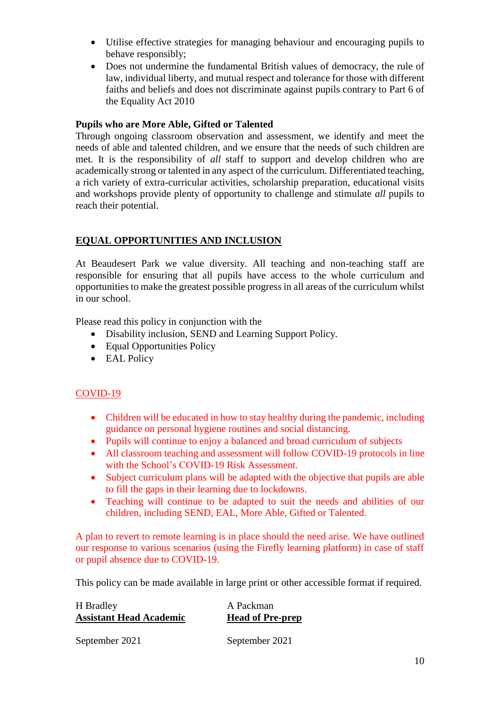- Utilise effective strategies for managing behaviour and encouraging pupils to behave responsibly;
- Does not undermine the fundamental British values of democracy, the rule of law, individual liberty, and mutual respect and tolerance for those with different faiths and beliefs and does not discriminate against pupils contrary to Part 6 of the Equality Act 2010

## **Pupils who are More Able, Gifted or Talented**

Through ongoing classroom observation and assessment, we identify and meet the needs of able and talented children, and we ensure that the needs of such children are met. It is the responsibility of *all* staff to support and develop children who are academically strong or talented in any aspect of the curriculum. Differentiated teaching, a rich variety of extra-curricular activities, scholarship preparation, educational visits and workshops provide plenty of opportunity to challenge and stimulate *all* pupils to reach their potential.

# **EQUAL OPPORTUNITIES AND INCLUSION**

At Beaudesert Park we value diversity. All teaching and non-teaching staff are responsible for ensuring that all pupils have access to the whole curriculum and opportunities to make the greatest possible progress in all areas of the curriculum whilst in our school.

Please read this policy in conjunction with the

- Disability inclusion, SEND and Learning Support Policy.
- Equal Opportunities Policy
- EAL Policy

# COVID-19

- Children will be educated in how to stay healthy during the pandemic, including guidance on personal hygiene routines and social distancing.
- Pupils will continue to enjoy a balanced and broad curriculum of subjects
- All classroom teaching and assessment will follow COVID-19 protocols in line with the School's COVID-19 Risk Assessment.
- Subject curriculum plans will be adapted with the objective that pupils are able to fill the gaps in their learning due to lockdowns.
- Teaching will continue to be adapted to suit the needs and abilities of our children, including SEND, EAL, More Able, Gifted or Talented.

A plan to revert to remote learning is in place should the need arise. We have outlined our response to various scenarios (using the Firefly learning platform) in case of staff or pupil absence due to COVID-19.

This policy can be made available in large print or other accessible format if required.

| H Bradley                         | A Packman               |
|-----------------------------------|-------------------------|
| <b>Assistant Head Academic</b>    | <b>Head of Pre-prep</b> |
| $\bullet \bullet \bullet \bullet$ |                         |

September 2021 September 2021